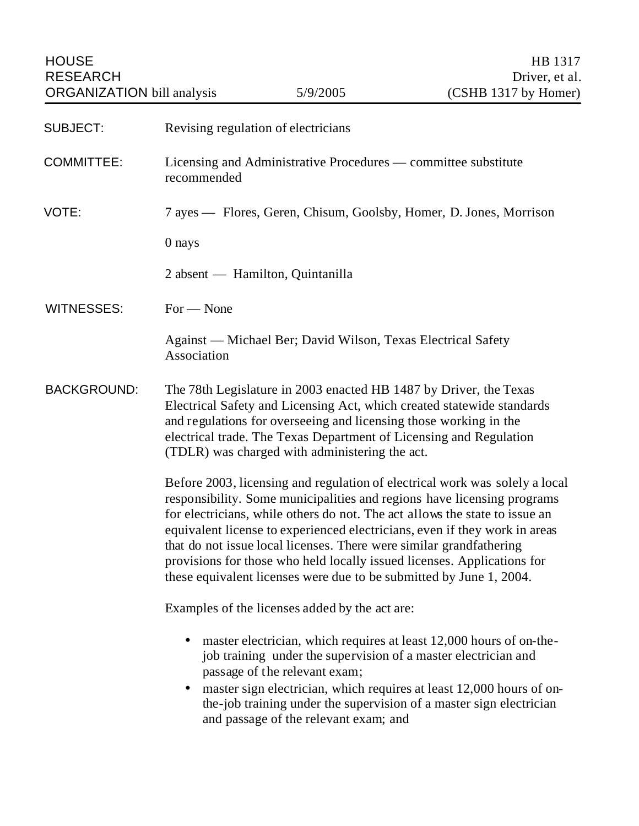| <b>SUBJECT:</b>    | Revising regulation of electricians                                                                                                                                                                                                                                                                                                                                                                                                                                                                                                          |
|--------------------|----------------------------------------------------------------------------------------------------------------------------------------------------------------------------------------------------------------------------------------------------------------------------------------------------------------------------------------------------------------------------------------------------------------------------------------------------------------------------------------------------------------------------------------------|
| <b>COMMITTEE:</b>  | Licensing and Administrative Procedures — committee substitute<br>recommended                                                                                                                                                                                                                                                                                                                                                                                                                                                                |
| VOTE:              | 7 ayes — Flores, Geren, Chisum, Goolsby, Homer, D. Jones, Morrison                                                                                                                                                                                                                                                                                                                                                                                                                                                                           |
|                    | 0 nays                                                                                                                                                                                                                                                                                                                                                                                                                                                                                                                                       |
|                    | 2 absent — Hamilton, Quintanilla                                                                                                                                                                                                                                                                                                                                                                                                                                                                                                             |
| <b>WITNESSES:</b>  | $For - None$                                                                                                                                                                                                                                                                                                                                                                                                                                                                                                                                 |
|                    | Against — Michael Ber; David Wilson, Texas Electrical Safety<br>Association                                                                                                                                                                                                                                                                                                                                                                                                                                                                  |
| <b>BACKGROUND:</b> | The 78th Legislature in 2003 enacted HB 1487 by Driver, the Texas<br>Electrical Safety and Licensing Act, which created statewide standards<br>and regulations for overseeing and licensing those working in the<br>electrical trade. The Texas Department of Licensing and Regulation<br>(TDLR) was charged with administering the act.                                                                                                                                                                                                     |
|                    | Before 2003, licensing and regulation of electrical work was solely a local<br>responsibility. Some municipalities and regions have licensing programs<br>for electricians, while others do not. The act allows the state to issue an<br>equivalent license to experienced electricians, even if they work in areas<br>that do not issue local licenses. There were similar grandfathering<br>provisions for those who held locally issued licenses. Applications for<br>these equivalent licenses were due to be submitted by June 1, 2004. |
|                    | Examples of the licenses added by the act are:                                                                                                                                                                                                                                                                                                                                                                                                                                                                                               |
|                    | master electrician, which requires at least 12,000 hours of on-the-<br>$\bullet$<br>job training under the supervision of a master electrician and<br>passage of the relevant exam;<br>master sign electrician, which requires at least 12,000 hours of on-<br>the-job training under the supervision of a master sign electrician<br>and passage of the relevant exam; and                                                                                                                                                                  |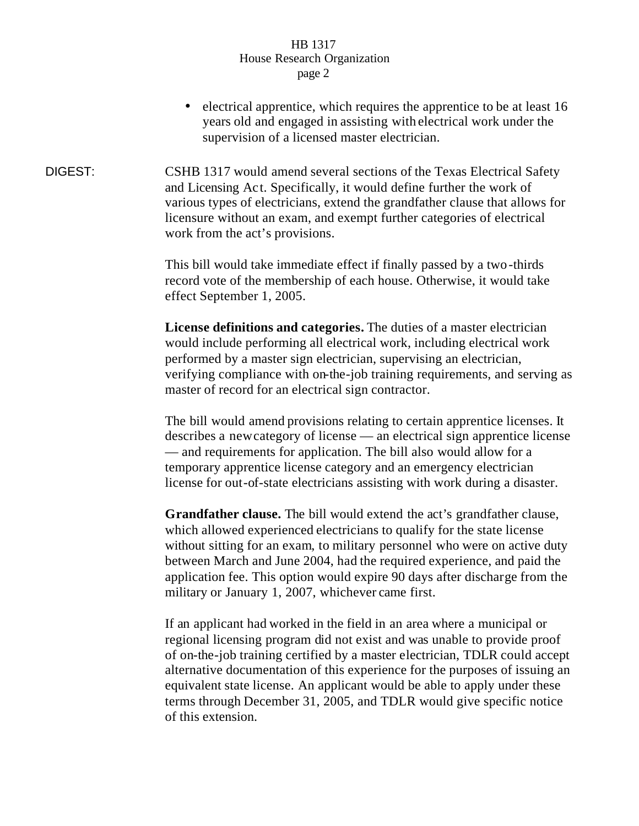- electrical apprentice, which requires the apprentice to be at least 16 years old and engaged in assisting with electrical work under the supervision of a licensed master electrician.
- DIGEST: CSHB 1317 would amend several sections of the Texas Electrical Safety and Licensing Act. Specifically, it would define further the work of various types of electricians, extend the grandfather clause that allows for licensure without an exam, and exempt further categories of electrical work from the act's provisions.

This bill would take immediate effect if finally passed by a two-thirds record vote of the membership of each house. Otherwise, it would take effect September 1, 2005.

**License definitions and categories.** The duties of a master electrician would include performing all electrical work, including electrical work performed by a master sign electrician, supervising an electrician, verifying compliance with on-the-job training requirements, and serving as master of record for an electrical sign contractor.

The bill would amend provisions relating to certain apprentice licenses. It describes a new category of license — an electrical sign apprentice license — and requirements for application. The bill also would allow for a temporary apprentice license category and an emergency electrician license for out-of-state electricians assisting with work during a disaster.

**Grandfather clause.** The bill would extend the act's grandfather clause, which allowed experienced electricians to qualify for the state license without sitting for an exam, to military personnel who were on active duty between March and June 2004, had the required experience, and paid the application fee. This option would expire 90 days after discharge from the military or January 1, 2007, whichever came first.

If an applicant had worked in the field in an area where a municipal or regional licensing program did not exist and was unable to provide proof of on-the-job training certified by a master electrician, TDLR could accept alternative documentation of this experience for the purposes of issuing an equivalent state license. An applicant would be able to apply under these terms through December 31, 2005, and TDLR would give specific notice of this extension.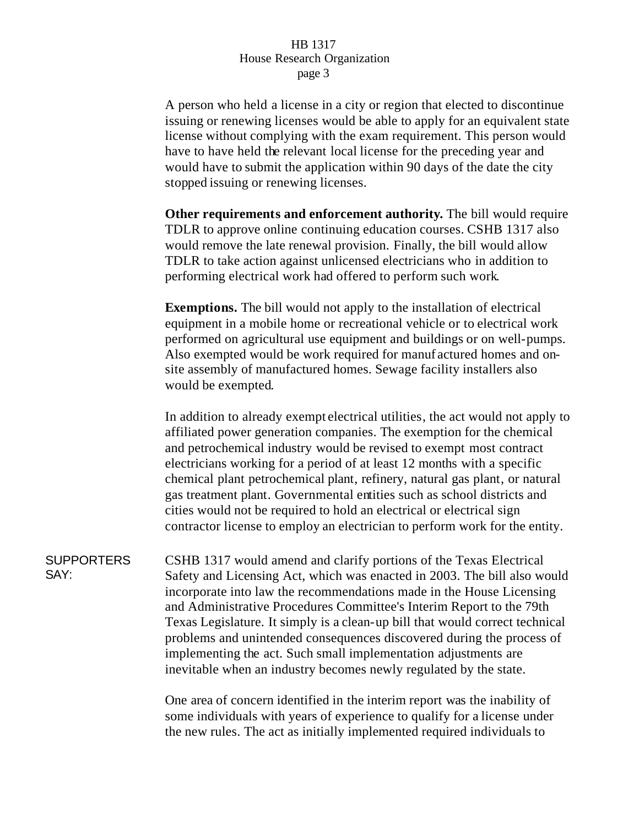A person who held a license in a city or region that elected to discontinue issuing or renewing licenses would be able to apply for an equivalent state license without complying with the exam requirement. This person would have to have held the relevant local license for the preceding year and would have to submit the application within 90 days of the date the city stopped issuing or renewing licenses.

**Other requirements and enforcement authority.** The bill would require TDLR to approve online continuing education courses. CSHB 1317 also would remove the late renewal provision. Finally, the bill would allow TDLR to take action against unlicensed electricians who in addition to performing electrical work had offered to perform such work.

**Exemptions.** The bill would not apply to the installation of electrical equipment in a mobile home or recreational vehicle or to electrical work performed on agricultural use equipment and buildings or on well-pumps. Also exempted would be work required for manuf actured homes and onsite assembly of manufactured homes. Sewage facility installers also would be exempted.

In addition to already exempt electrical utilities, the act would not apply to affiliated power generation companies. The exemption for the chemical and petrochemical industry would be revised to exempt most contract electricians working for a period of at least 12 months with a specific chemical plant petrochemical plant, refinery, natural gas plant, or natural gas treatment plant. Governmental entities such as school districts and cities would not be required to hold an electrical or electrical sign contractor license to employ an electrician to perform work for the entity.

**SUPPORTERS** SAY: CSHB 1317 would amend and clarify portions of the Texas Electrical Safety and Licensing Act, which was enacted in 2003. The bill also would incorporate into law the recommendations made in the House Licensing and Administrative Procedures Committee's Interim Report to the 79th Texas Legislature. It simply is a clean-up bill that would correct technical problems and unintended consequences discovered during the process of implementing the act. Such small implementation adjustments are inevitable when an industry becomes newly regulated by the state.

> One area of concern identified in the interim report was the inability of some individuals with years of experience to qualify for a license under the new rules. The act as initially implemented required individuals to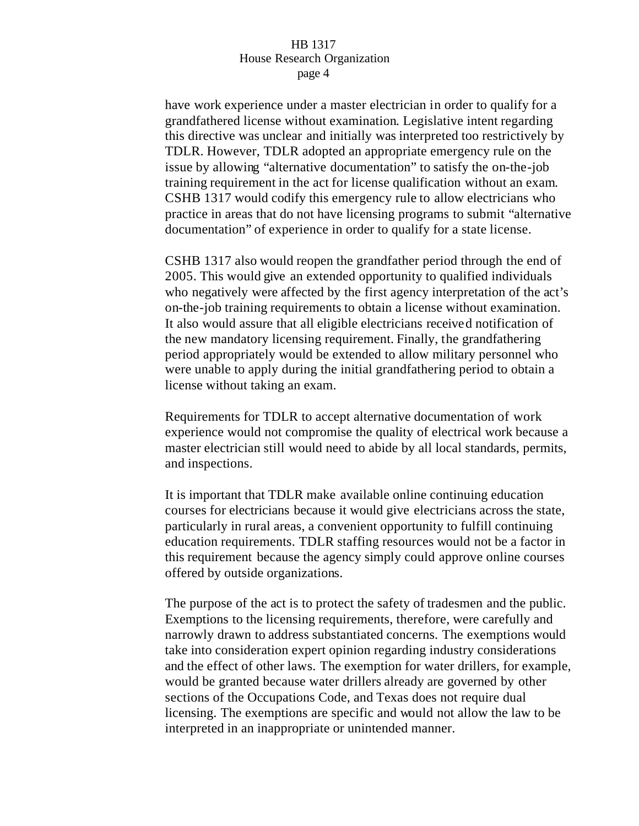have work experience under a master electrician in order to qualify for a grandfathered license without examination. Legislative intent regarding this directive was unclear and initially was interpreted too restrictively by TDLR. However, TDLR adopted an appropriate emergency rule on the issue by allowing "alternative documentation" to satisfy the on-the-job training requirement in the act for license qualification without an exam. CSHB 1317 would codify this emergency rule to allow electricians who practice in areas that do not have licensing programs to submit "alternative documentation" of experience in order to qualify for a state license.

CSHB 1317 also would reopen the grandfather period through the end of 2005. This would give an extended opportunity to qualified individuals who negatively were affected by the first agency interpretation of the act's on-the-job training requirements to obtain a license without examination. It also would assure that all eligible electricians received notification of the new mandatory licensing requirement. Finally, the grandfathering period appropriately would be extended to allow military personnel who were unable to apply during the initial grandfathering period to obtain a license without taking an exam.

Requirements for TDLR to accept alternative documentation of work experience would not compromise the quality of electrical work because a master electrician still would need to abide by all local standards, permits, and inspections.

It is important that TDLR make available online continuing education courses for electricians because it would give electricians across the state, particularly in rural areas, a convenient opportunity to fulfill continuing education requirements. TDLR staffing resources would not be a factor in this requirement because the agency simply could approve online courses offered by outside organizations.

The purpose of the act is to protect the safety of tradesmen and the public. Exemptions to the licensing requirements, therefore, were carefully and narrowly drawn to address substantiated concerns. The exemptions would take into consideration expert opinion regarding industry considerations and the effect of other laws. The exemption for water drillers, for example, would be granted because water drillers already are governed by other sections of the Occupations Code, and Texas does not require dual licensing. The exemptions are specific and would not allow the law to be interpreted in an inappropriate or unintended manner.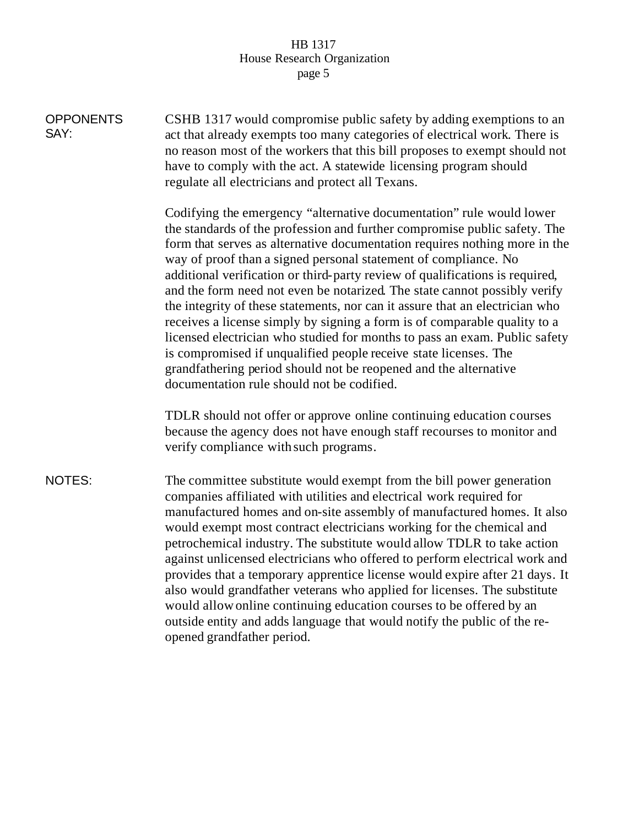| <b>OPPONENTS</b><br>SAY: | CSHB 1317 would compromise public safety by adding exemptions to an<br>act that already exempts too many categories of electrical work. There is<br>no reason most of the workers that this bill proposes to exempt should not<br>have to comply with the act. A statewide licensing program should<br>regulate all electricians and protect all Texans.                                                                                                                                                                                                                                                                                                                                                                                                                                                                                                                                         |
|--------------------------|--------------------------------------------------------------------------------------------------------------------------------------------------------------------------------------------------------------------------------------------------------------------------------------------------------------------------------------------------------------------------------------------------------------------------------------------------------------------------------------------------------------------------------------------------------------------------------------------------------------------------------------------------------------------------------------------------------------------------------------------------------------------------------------------------------------------------------------------------------------------------------------------------|
|                          | Codifying the emergency "alternative documentation" rule would lower<br>the standards of the profession and further compromise public safety. The<br>form that serves as alternative documentation requires nothing more in the<br>way of proof than a signed personal statement of compliance. No<br>additional verification or third-party review of qualifications is required,<br>and the form need not even be notarized. The state cannot possibly verify<br>the integrity of these statements, nor can it assure that an electrician who<br>receives a license simply by signing a form is of comparable quality to a<br>licensed electrician who studied for months to pass an exam. Public safety<br>is compromised if unqualified people receive state licenses. The<br>grandfathering period should not be reopened and the alternative<br>documentation rule should not be codified. |
|                          | TDLR should not offer or approve online continuing education courses<br>because the agency does not have enough staff recourses to monitor and<br>verify compliance with such programs.                                                                                                                                                                                                                                                                                                                                                                                                                                                                                                                                                                                                                                                                                                          |
| NOTES:                   | The committee substitute would exempt from the bill power generation<br>companies affiliated with utilities and electrical work required for<br>manufactured homes and on-site assembly of manufactured homes. It also<br>would exempt most contract electricians working for the chemical and<br>petrochemical industry. The substitute would allow TDLR to take action<br>against unlicensed electricians who offered to perform electrical work and<br>provides that a temporary apprentice license would expire after 21 days. It<br>also would grandfather veterans who applied for licenses. The substitute<br>would allow online continuing education courses to be offered by an<br>outside entity and adds language that would notify the public of the re-<br>opened grandfather period.                                                                                               |